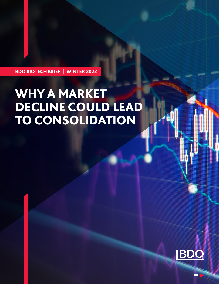BDO BIOTECH BRIEF | WINTER 2022

# WHY A MARKET DECLINE COULD LEAD TO CONSOLIDATION

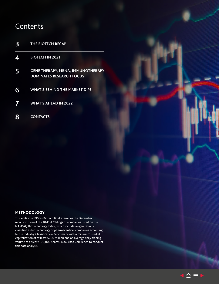## **Contents**

| $\mathbf{3}$              | THE BIOTECH RECAP                                                           |
|---------------------------|-----------------------------------------------------------------------------|
| $\boldsymbol{\varLambda}$ | <b>BIOTECH IN 2021</b>                                                      |
| 5                         | <b>GENE THERAPY, MRNA, IMMUNOTHERAPY</b><br><b>DOMINATES RESEARCH FOCUS</b> |
| 6                         | <b>WHAT'S BEHIND THE MARKET DIP?</b>                                        |
| 7                         | <b>WHAT'S AHEAD IN 2022</b>                                                 |
|                           | <b>CONTACTS</b>                                                             |

#### **METHODOLOGY**

This edition of BDO's Biotech Brief examines the December reconstitution of the 10-K SEC filings of companies listed on the NASDAQ Biotechnology Index, which includes organizations classified as biotechnology or pharmaceutical companies according to the Industry Classification Benchmark with a minimum market capitalization of at least \$200 million and an average daily trading volume of at least 100,000 shares. BDO used CalcBench to conduct this data analysis.

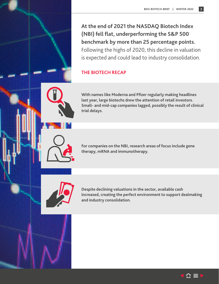<span id="page-2-0"></span>**At the end of 2021 the NASDAQ Biotech Index (NBI) fell flat, underperforming the S&P 500 benchmark by more than 25 percentage points.** Following the highs of 2020, this decline in valuation is expected and could lead to industry consolidation.

## <span id="page-2-1"></span>**THE BIOTECH RECAP**

**With names like Moderna and Pfizer regularly making headlines last year, large biotechs drew the attention of retail investors. Small- and mid-cap companies lagged, possibly the result of clinical trial delays.** 

**For companies on the NBI, research areas of focus include gene therapy, mRNA and immunotherapy.**



**Despite declining valuations in the sector, available cash increased, creating the perfect environment to support dealmaking and industry consolidation.**

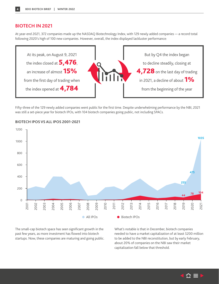#### <span id="page-3-1"></span><span id="page-3-0"></span>**BIOTECH IN 2021**

At year-end 2021, 372 companies made up the NASDAQ Biotechnology Index, with 129 newly added companies — a record total following 2020's high of 100 new companies. However, overall, the index displayed lackluster performance:



Fifty-three of the 129 newly added companies went public for the first time. Despite underwhelming performance by the NBI, 2021 was still a set-piece year for biotech IPOs, with 104 biotech companies going public, not including SPACs.



#### **BIOTECH IPOS VS ALL IPOS 2001-2021**

The small-cap biotech space has seen significant growth in the past few years, as more investment has flowed into biotech startups. Now, these companies are maturing and going public.

What's notable is that in December, biotech companies needed to have a market capitalization of at least \$200 million to be added to the NBI reconstitution, but by early February, about 20% of companies on the NBI saw their market capitalization fall below that threshold.

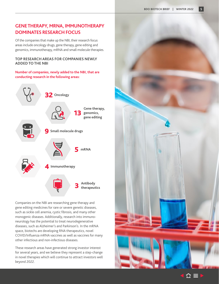## <span id="page-4-0"></span>**GENE THERAPY, MRNA, IMMUNOTHERAPY DOMINATES RESEARCH FOCUS**

Of the companies that make up the NBI, their research focus areas include oncology drugs, gene therapy, gene editing and genomics, immunotherapy, mRNA and small molecule therapies.

#### **TOP RESEARCH AREAS FOR COMPANIES NEWLY ADDED TO THE NBI**

#### **Number of companies, newly added to the NBI, that are conducting research in the following areas:**



Companies on the NBI are researching gene therapy and gene editing medicines for rare or severe genetic diseases, such as sickle cell anemia, cystic fibrosis, and many other monogenic diseases. Additionally, research into immunoneurology has the potential to treat neurodegenerative diseases, such as Alzheimer's and Parkinson's. In the mRNA space, biotechs are developing RNA therapeutics, novel COVID/Influenza mRNA vaccines as well as vaccines for many other infectious and non-infectious diseases.

These research areas have generated strong investor interest for several years, and we believe they represent a step-change in novel therapies which will continue to attract investors well beyond 2022.



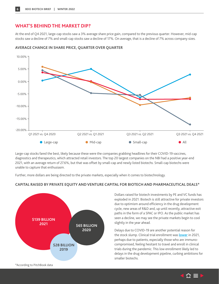## <span id="page-5-1"></span><span id="page-5-0"></span>**WHAT'S BEHIND THE MARKET DIP?**

At the end of Q4 2021, large-cap stocks saw a 3% average share price gain, compared to the previous quarter. However, mid-cap stocks saw a decline of 7% and small-cap stocks saw a decline of 17%. On average, that is a decline of 7% across company sizes.



#### **AVERAGE CHANGE IN SHARE PRICE, QUARTER OVER QUARTER**

Large-cap stocks fared the best, likely because these were the companies grabbing headlines for their COVID-19 vaccines, diagnostics and therapeutics, which attracted retail investors. The top 20 largest companies on the NBI had a positive year-end 2021, with an average return of 27.6%, but that was offset by small-cap and newly listed biotechs. Small-cap biotechs were unable to capture that enthusiasm.

Further, more dollars are being directed to the private markets, especially when it comes to biotechnology.



#### **CAPITAL RAISED BY PRIVATE EQUITY AND VENTURE CAPITAL FOR BIOTECH AND PHARMACEUTICAL DEALS\***

Dollars raised for biotech investments by PE and VC funds has exploded in 2021. Biotech is still attractive for private investors due to optimism around efficiency in the drug development cycle, new areas of R&D and, up until recently, attractive exit paths in the form of a SPAC or IPO. As the public market has seen a decline, we may see the private markets begin to cool slightly in the year ahead.

Delays due to COVID-19 are another potential reason for the stock slump. Clinical trial enrollment was **[lower](https://jamanetwork.com/journals/jamanetworkopen/fullarticle/2782530)** in 2021, perhaps due to patients, especially those who are immunocompromised, feeling hesitant to travel and enroll in clinical trials during the pandemic. This low enrollment likely led to delays in the drug development pipeline, curbing ambitions for smaller biotechs.

\*According to PitchBook data

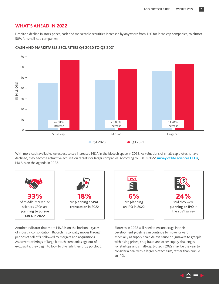### <span id="page-6-0"></span>**WHAT'S AHEAD IN 2022**

Despite a decline in stock prices, cash and marketable securities increased by anywhere from 11% for large-cap companies, to almost 50% for small-cap companies:



#### **CASH AND MARKETABLE SECURITIES Q4 2020 TO Q3 2021**

With more cash available, we expect to see increased M&A in the biotech space in 2022. As valuations of small-cap biotechs have declined, they become attractive acquisition targets for larger companies. According to BDO's 2022 **[survey of life sciences CFOs](https://www.bdo.com/insights/industries/life-sciences/cfo-survey-life-sciences)**, M&A is on the agenda in 2022.



Another indicator that more M&A is on the horizon – cycles of industry consolidation. Biotech historically moves through periods of sell offs, followed by mergers and acquisitions. As current offerings of large biotech companies age out of exclusivity, they begin to look to diversify their drug portfolio.

Biotechs in 2022 will need to ensure drugs in their development pipeline can continue to move forward, especially as supply chain delays cause drugmakers to grapple with rising prices, drug fraud and other supply challenges. For startups and small-cap biotech, 2022 may be the year to consider a deal with a larger biotech firm, rather than pursue an IPO.